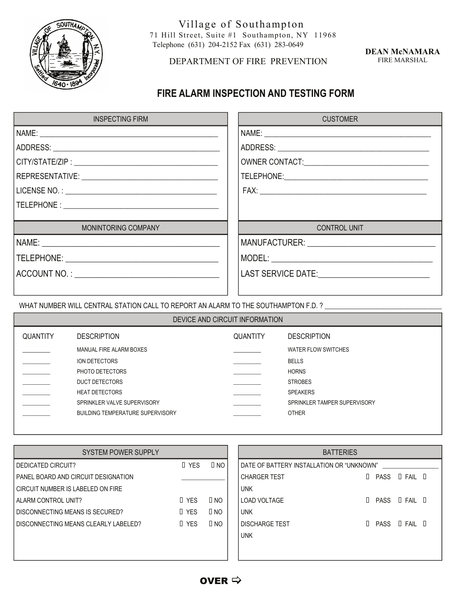

Village of Southampton<br>71 Hill Street, Suite #1 Southampton, NY 11968 Telephone (631) 204-2152 Fax (631) 283-0649

## DEPARTMENT OF FIRE PREVENTION

**DEAN McNAMARA**  FIRE MARSHAL

## **FIRE ALARM INSPECTION AND TESTING FORM**

| <b>INSPECTING FIRM</b> | <b>CUSTOMER</b>                                |
|------------------------|------------------------------------------------|
|                        |                                                |
|                        |                                                |
|                        |                                                |
|                        |                                                |
|                        |                                                |
|                        |                                                |
|                        |                                                |
| MONINTORING COMPANY    | <b>CONTROL UNIT</b>                            |
|                        |                                                |
|                        |                                                |
|                        | LAST SERVICE DATE:____________________________ |
|                        |                                                |
|                        |                                                |

WHAT NUMBER WILL CENTRAL STATION CALL TO REPORT AN ALARM TO THE SOUTHAMPTON F.D. ? \_\_\_\_\_\_\_\_\_\_\_\_\_\_\_\_\_

| DEVICE AND CIRCUIT INFORMATION |                                         |                 |                              |  |  |  |
|--------------------------------|-----------------------------------------|-----------------|------------------------------|--|--|--|
| <b>QUANTITY</b>                | <b>DESCRIPTION</b>                      | <b>QUANTITY</b> | <b>DESCRIPTION</b>           |  |  |  |
|                                | MANUAL FIRE ALARM BOXES                 |                 | WATER FLOW SWITCHES          |  |  |  |
|                                | <b>ION DETECTORS</b>                    |                 | <b>BELLS</b>                 |  |  |  |
|                                | PHOTO DETECTORS                         |                 | <b>HORNS</b>                 |  |  |  |
|                                | <b>DUCT DETECTORS</b>                   |                 | <b>STROBES</b>               |  |  |  |
|                                | <b>HEAT DETECTORS</b>                   |                 | <b>SPEAKERS</b>              |  |  |  |
|                                | SPRINKLER VALVE SUPERVISORY             |                 | SPRINKLER TAMPER SUPERVISORY |  |  |  |
|                                | <b>BUILDING TEMPERATURE SUPERVISORY</b> |                 | <b>OTHER</b>                 |  |  |  |
|                                |                                         |                 |                              |  |  |  |

| <b>SYSTEM POWER SUPPLY</b>           |            |              | <b>BATTERIES</b>                            |             |                    |  |
|--------------------------------------|------------|--------------|---------------------------------------------|-------------|--------------------|--|
| DEDICATED CIRCUIT?                   | $\Box$ YES | $\Box$ No    | l DATE OF BATTERY INSTALLATION OR "UNKNOWN" |             |                    |  |
| PANEL BOARD AND CIRCUIT DESIGNATION  |            |              | <b>CHARGER TEST</b>                         | $\Box$ PASS | $\Box$ FAIL $\Box$ |  |
| CIRCUIT NUMBER IS LABELED ON FIRE    |            |              | <b>UNK</b>                                  |             |                    |  |
| ALARM CONTROL UNIT?                  | I YES      | $\Box$ NO    | l LOAD VOLTAGE                              | $\Box$ PASS | $\Box$ FAIL $\Box$ |  |
| DISCONNECTING MEANS IS SECURED?      | $\Box$ YES | $\square$ NO | <b>UNK</b>                                  |             |                    |  |
| DISCONNECTING MEANS CLEARLY LABELED? | $\Box$ YES | $\Box$ NO    | I DISCHARGE TEST                            | $\Box$ PASS | $\Box$ FAIL $\Box$ |  |
|                                      |            |              | <b>UNK</b>                                  |             |                    |  |
|                                      |            |              |                                             |             |                    |  |
|                                      |            |              |                                             |             |                    |  |